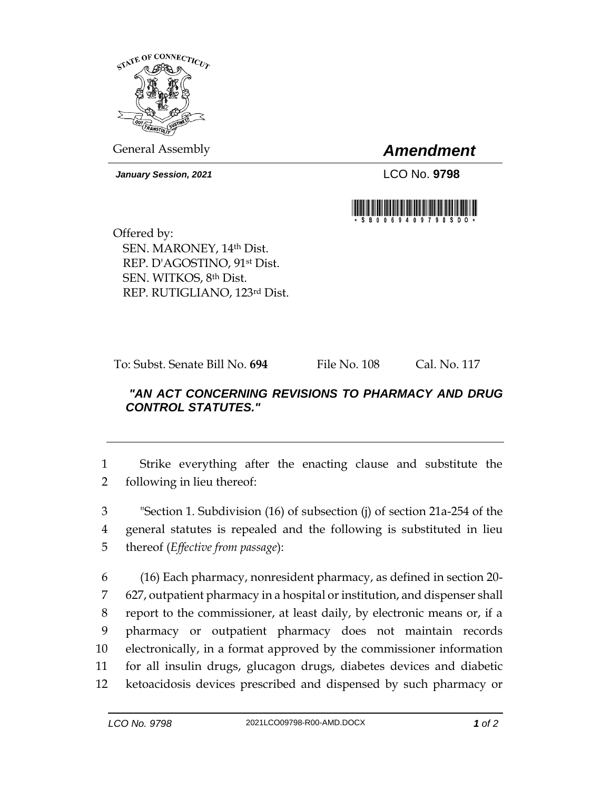

General Assembly *Amendment*

*January Session, 2021* LCO No. **9798**



Offered by: SEN. MARONEY, 14th Dist. REP. D'AGOSTINO, 91st Dist. SEN. WITKOS, 8th Dist. REP. RUTIGLIANO, 123rd Dist.

To: Subst. Senate Bill No. **694** File No. 108 Cal. No. 117

## *"AN ACT CONCERNING REVISIONS TO PHARMACY AND DRUG CONTROL STATUTES."*

1 Strike everything after the enacting clause and substitute the 2 following in lieu thereof:

3 "Section 1. Subdivision (16) of subsection (j) of section 21a-254 of the 4 general statutes is repealed and the following is substituted in lieu 5 thereof (*Effective from passage*):

 (16) Each pharmacy, nonresident pharmacy, as defined in section 20- 627, outpatient pharmacy in a hospital or institution, and dispenser shall report to the commissioner, at least daily, by electronic means or, if a pharmacy or outpatient pharmacy does not maintain records electronically, in a format approved by the commissioner information for all insulin drugs, glucagon drugs, diabetes devices and diabetic ketoacidosis devices prescribed and dispensed by such pharmacy or